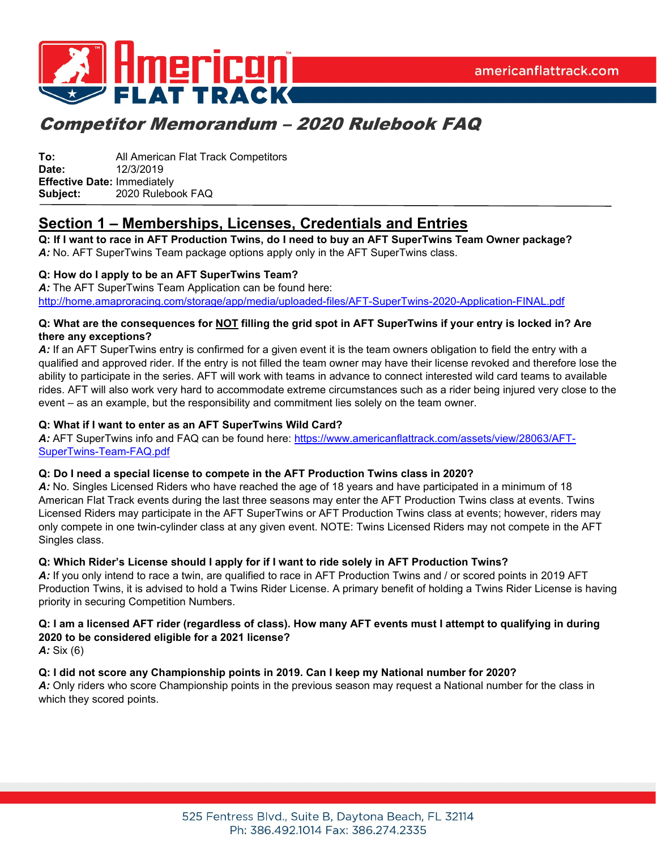

**To:** All American Flat Track Competitors **Date:** 12/3/2019 **Effective Date:** Immediately **Subject:** 2020 Rulebook FAQ

## **Section 1 – Memberships, Licenses, Credentials and Entries**

**Q: If I want to race in AFT Production Twins, do I need to buy an AFT SuperTwins Team Owner package?** *A:* No. AFT SuperTwins Team package options apply only in the AFT SuperTwins class.

#### **Q: How do I apply to be an AFT SuperTwins Team?**

*A:* The AFT SuperTwins Team Application can be found here: <http://home.amaproracing.com/storage/app/media/uploaded-files/AFT-SuperTwins-2020-Application-FINAL.pdf>

#### **Q: What are the consequences for NOT filling the grid spot in AFT SuperTwins if your entry is locked in? Are there any exceptions?**

A: If an AFT SuperTwins entry is confirmed for a given event it is the team owners obligation to field the entry with a qualified and approved rider. If the entry is not filled the team owner may have their license revoked and therefore lose the ability to participate in the series. AFT will work with teams in advance to connect interested wild card teams to available rides. AFT will also work very hard to accommodate extreme circumstances such as a rider being injured very close to the event – as an example, but the responsibility and commitment lies solely on the team owner.

#### **Q: What if I want to enter as an AFT SuperTwins Wild Card?**

*A:* AFT SuperTwins info and FAQ can be found here: [https://www.americanflattrack.com/assets/view/28063/AFT-](https://www.americanflattrack.com/assets/view/28063/AFT-SuperTwins-Team-FAQ.pdf)[SuperTwins-Team-FAQ.pdf](https://www.americanflattrack.com/assets/view/28063/AFT-SuperTwins-Team-FAQ.pdf)

#### **Q: Do I need a special license to compete in the AFT Production Twins class in 2020?**

*A:* No. Singles Licensed Riders who have reached the age of 18 years and have participated in a minimum of 18 American Flat Track events during the last three seasons may enter the AFT Production Twins class at events. Twins Licensed Riders may participate in the AFT SuperTwins or AFT Production Twins class at events; however, riders may only compete in one twin-cylinder class at any given event. NOTE: Twins Licensed Riders may not compete in the AFT Singles class.

#### **Q: Which Rider's License should I apply for if I want to ride solely in AFT Production Twins?**

A: If you only intend to race a twin, are qualified to race in AFT Production Twins and / or scored points in 2019 AFT Production Twins, it is advised to hold a Twins Rider License. A primary benefit of holding a Twins Rider License is having priority in securing Competition Numbers.

### **Q: I am a licensed AFT rider (regardless of class). How many AFT events must I attempt to qualifying in during 2020 to be considered eligible for a 2021 license?**

*A:* Six (6)

#### **Q: I did not score any Championship points in 2019. Can I keep my National number for 2020?**

*A:* Only riders who score Championship points in the previous season may request a National number for the class in which they scored points.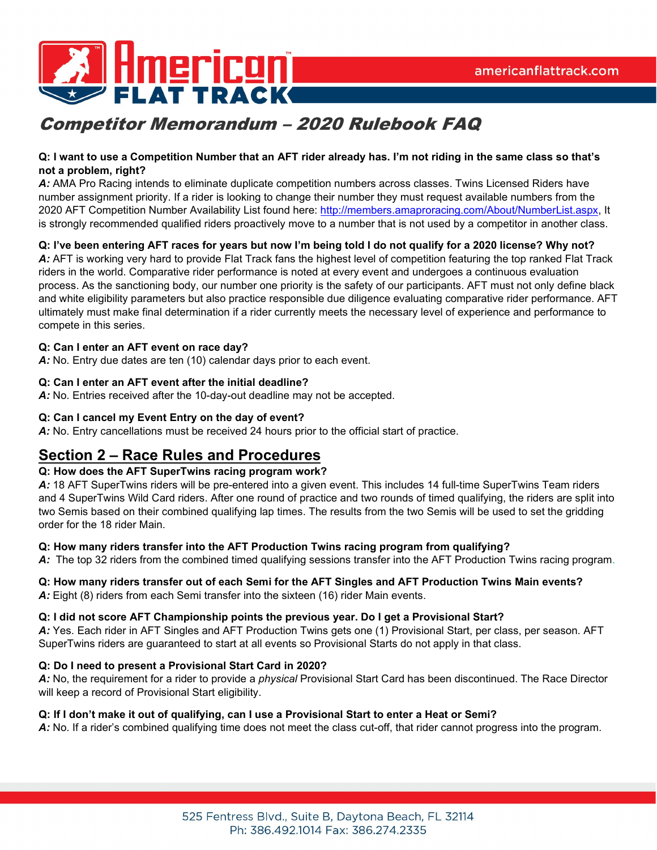

#### **Q: I want to use a Competition Number that an AFT rider already has. I'm not riding in the same class so that's not a problem, right?**

A: AMA Pro Racing intends to eliminate duplicate competition numbers across classes. Twins Licensed Riders have number assignment priority. If a rider is looking to change their number they must request available numbers from the 2020 AFT Competition Number Availability List found here: [http://members.amaproracing.com/About/NumberList.aspx,](http://members.amaproracing.com/About/NumberList.aspx) It is strongly recommended qualified riders proactively move to a number that is not used by a competitor in another class.

#### **Q: I've been entering AFT races for years but now I'm being told I do not qualify for a 2020 license? Why not?**

*A:* AFT is working very hard to provide Flat Track fans the highest level of competition featuring the top ranked Flat Track riders in the world. Comparative rider performance is noted at every event and undergoes a continuous evaluation process. As the sanctioning body, our number one priority is the safety of our participants. AFT must not only define black and white eligibility parameters but also practice responsible due diligence evaluating comparative rider performance. AFT ultimately must make final determination if a rider currently meets the necessary level of experience and performance to compete in this series.

#### **Q: Can I enter an AFT event on race day?**

*A:* No. Entry due dates are ten (10) calendar days prior to each event.

#### **Q: Can I enter an AFT event after the initial deadline?**

*A:* No. Entries received after the 10-day-out deadline may not be accepted.

#### **Q: Can I cancel my Event Entry on the day of event?**

*A:* No. Entry cancellations must be received 24 hours prior to the official start of practice.

### **Section 2 – Race Rules and Procedures**

#### **Q: How does the AFT SuperTwins racing program work?**

*A:* 18 AFT SuperTwins riders will be pre-entered into a given event. This includes 14 full-time SuperTwins Team riders and 4 SuperTwins Wild Card riders. After one round of practice and two rounds of timed qualifying, the riders are split into two Semis based on their combined qualifying lap times. The results from the two Semis will be used to set the gridding order for the 18 rider Main.

#### **Q: How many riders transfer into the AFT Production Twins racing program from qualifying?**

*A:* The top 32 riders from the combined timed qualifying sessions transfer into the AFT Production Twins racing program.

### **Q: How many riders transfer out of each Semi for the AFT Singles and AFT Production Twins Main events?**

A: Eight (8) riders from each Semi transfer into the sixteen (16) rider Main events.

#### **Q: I did not score AFT Championship points the previous year. Do I get a Provisional Start?**

*A:* Yes. Each rider in AFT Singles and AFT Production Twins gets one (1) Provisional Start, per class, per season. AFT SuperTwins riders are guaranteed to start at all events so Provisional Starts do not apply in that class.

#### **Q: Do I need to present a Provisional Start Card in 2020?**

*A:* No, the requirement for a rider to provide a *physical* Provisional Start Card has been discontinued. The Race Director will keep a record of Provisional Start eligibility.

#### **Q: If I don't make it out of qualifying, can I use a Provisional Start to enter a Heat or Semi?**

*A:* No. If a rider's combined qualifying time does not meet the class cut-off, that rider cannot progress into the program.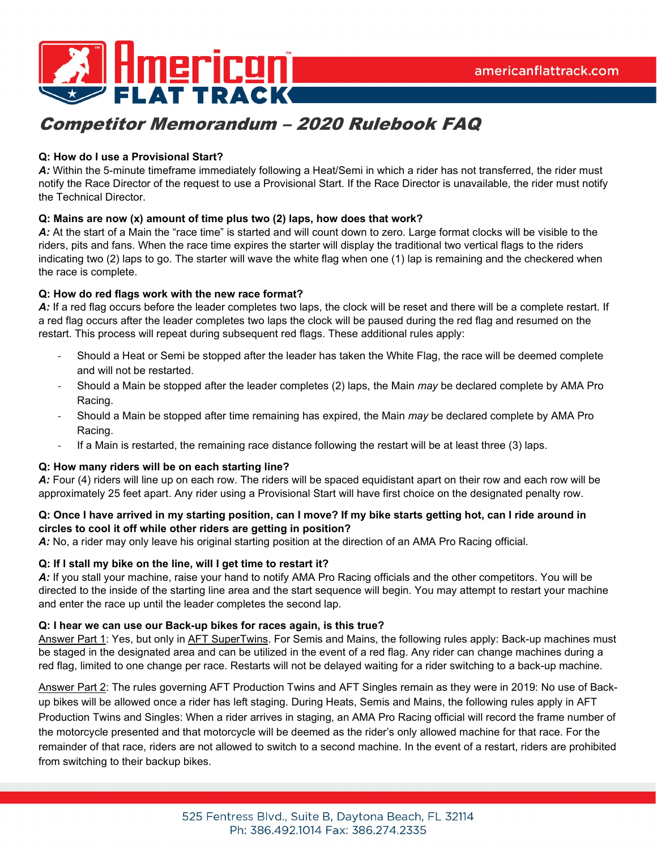

#### **Q: How do I use a Provisional Start?**

*A:* Within the 5-minute timeframe immediately following a Heat/Semi in which a rider has not transferred, the rider must notify the Race Director of the request to use a Provisional Start. If the Race Director is unavailable, the rider must notify the Technical Director.

#### **Q: Mains are now (x) amount of time plus two (2) laps, how does that work?**

*A:* At the start of a Main the "race time" is started and will count down to zero. Large format clocks will be visible to the riders, pits and fans. When the race time expires the starter will display the traditional two vertical flags to the riders indicating two (2) laps to go. The starter will wave the white flag when one (1) lap is remaining and the checkered when the race is complete.

#### **Q: How do red flags work with the new race format?**

*A:* If a red flag occurs before the leader completes two laps, the clock will be reset and there will be a complete restart. If a red flag occurs after the leader completes two laps the clock will be paused during the red flag and resumed on the restart. This process will repeat during subsequent red flags. These additional rules apply:

- Should a Heat or Semi be stopped after the leader has taken the White Flag, the race will be deemed complete and will not be restarted.
- Should a Main be stopped after the leader completes (2) laps, the Main *may* be declared complete by AMA Pro Racing.
- Should a Main be stopped after time remaining has expired, the Main *may* be declared complete by AMA Pro Racing.
- If a Main is restarted, the remaining race distance following the restart will be at least three (3) laps.

#### **Q: How many riders will be on each starting line?**

A: Four (4) riders will line up on each row. The riders will be spaced equidistant apart on their row and each row will be approximately 25 feet apart. Any rider using a Provisional Start will have first choice on the designated penalty row.

#### **Q: Once I have arrived in my starting position, can I move? If my bike starts getting hot, can I ride around in circles to cool it off while other riders are getting in position?**

*A:* No, a rider may only leave his original starting position at the direction of an AMA Pro Racing official.

#### **Q: If I stall my bike on the line, will I get time to restart it?**

*A:* If you stall your machine, raise your hand to notify AMA Pro Racing officials and the other competitors. You will be directed to the inside of the starting line area and the start sequence will begin. You may attempt to restart your machine and enter the race up until the leader completes the second lap.

#### **Q: I hear we can use our Back-up bikes for races again, is this true?**

Answer Part 1: Yes, but only in AFT SuperTwins. For Semis and Mains, the following rules apply: Back-up machines must be staged in the designated area and can be utilized in the event of a red flag. Any rider can change machines during a red flag, limited to one change per race. Restarts will not be delayed waiting for a rider switching to a back-up machine.

Answer Part 2: The rules governing AFT Production Twins and AFT Singles remain as they were in 2019: No use of Backup bikes will be allowed once a rider has left staging. During Heats, Semis and Mains, the following rules apply in AFT Production Twins and Singles: When a rider arrives in staging, an AMA Pro Racing official will record the frame number of the motorcycle presented and that motorcycle will be deemed as the rider's only allowed machine for that race. For the remainder of that race, riders are not allowed to switch to a second machine. In the event of a restart, riders are prohibited from switching to their backup bikes.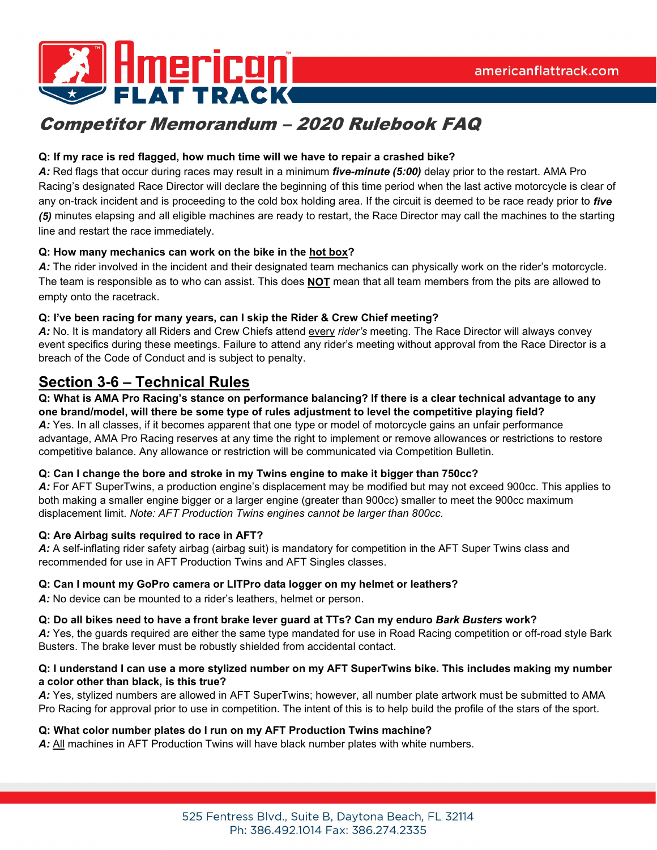



### **Q: If my race is red flagged, how much time will we have to repair a crashed bike?**

*A:* Red flags that occur during races may result in a minimum *five-minute (5:00)* delay prior to the restart. AMA Pro Racing's designated Race Director will declare the beginning of this time period when the last active motorcycle is clear of any on-track incident and is proceeding to the cold box holding area. If the circuit is deemed to be race ready prior to *five (5)* minutes elapsing and all eligible machines are ready to restart, the Race Director may call the machines to the starting line and restart the race immediately.

#### **Q: How many mechanics can work on the bike in the hot box?**

*A:* The rider involved in the incident and their designated team mechanics can physically work on the rider's motorcycle. The team is responsible as to who can assist. This does **NOT** mean that all team members from the pits are allowed to empty onto the racetrack.

#### **Q: I've been racing for many years, can I skip the Rider & Crew Chief meeting?**

*A:* No. It is mandatory all Riders and Crew Chiefs attend every *rider's* meeting. The Race Director will always convey event specifics during these meetings. Failure to attend any rider's meeting without approval from the Race Director is a breach of the Code of Conduct and is subject to penalty.

## **Section 3-6 – Technical Rules**

#### **Q: What is AMA Pro Racing's stance on performance balancing? If there is a clear technical advantage to any one brand/model, will there be some type of rules adjustment to level the competitive playing field?**

*A:* Yes. In all classes, if it becomes apparent that one type or model of motorcycle gains an unfair performance advantage, AMA Pro Racing reserves at any time the right to implement or remove allowances or restrictions to restore competitive balance. Any allowance or restriction will be communicated via Competition Bulletin.

#### **Q: Can I change the bore and stroke in my Twins engine to make it bigger than 750cc?**

*A:* For AFT SuperTwins, a production engine's displacement may be modified but may not exceed 900cc. This applies to both making a smaller engine bigger or a larger engine (greater than 900cc) smaller to meet the 900cc maximum displacement limit. *Note: AFT Production Twins engines cannot be larger than 800cc.*

#### **Q: Are Airbag suits required to race in AFT?**

*A:* A self-inflating rider safety airbag (airbag suit) is mandatory for competition in the AFT Super Twins class and recommended for use in AFT Production Twins and AFT Singles classes.

### **Q: Can I mount my GoPro camera or LITPro data logger on my helmet or leathers?**

*A:* No device can be mounted to a rider's leathers, helmet or person.

#### **Q: Do all bikes need to have a front brake lever guard at TTs? Can my enduro** *Bark Busters* **work?**

*A:* Yes, the guards required are either the same type mandated for use in Road Racing competition or off-road style Bark Busters. The brake lever must be robustly shielded from accidental contact.

#### **Q: I understand I can use a more stylized number on my AFT SuperTwins bike. This includes making my number a color other than black, is this true?**

*A:* Yes, stylized numbers are allowed in AFT SuperTwins; however, all number plate artwork must be submitted to AMA Pro Racing for approval prior to use in competition. The intent of this is to help build the profile of the stars of the sport.

#### **Q: What color number plates do I run on my AFT Production Twins machine?**

*A:* All machines in AFT Production Twins will have black number plates with white numbers.